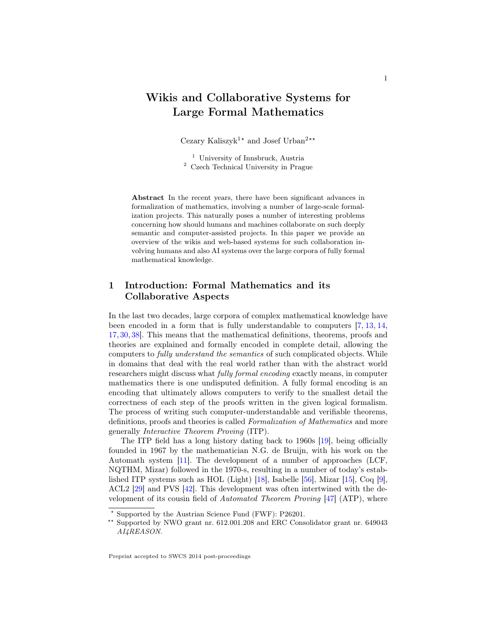# Wikis and Collaborative Systems for Large Formal Mathematics

Cezary Kaliszyk<sup>1\*</sup> and Josef Urban<sup>2\*\*</sup>

<sup>1</sup> University of Innsbruck, Austria <sup>2</sup> Czech Technical University in Prague

Abstract In the recent years, there have been significant advances in formalization of mathematics, involving a number of large-scale formalization projects. This naturally poses a number of interesting problems concerning how should humans and machines collaborate on such deeply semantic and computer-assisted projects. In this paper we provide an overview of the wikis and web-based systems for such collaboration involving humans and also AI systems over the large corpora of fully formal mathematical knowledge.

# 1 Introduction: Formal Mathematics and its Collaborative Aspects

In the last two decades, large corpora of complex mathematical knowledge have been encoded in a form that is fully understandable to computers [7, 13, 14, 17, 30, 38]. This means that the mathematical definitions, theorems, proofs and theories are explained and formally encoded in complete detail, allowing the computers to fully understand the semantics of such complicated objects. While in domains that deal with the real world rather than with the abstract world researchers might discuss what fully formal encoding exactly means, in computer mathematics there is one undisputed definition. A fully formal encoding is an encoding that ultimately allows comp[uter](#page-15-0)s to verify to the smallest detail the correctness of each step of the proofs written in the given logical formalism. [T](#page-15-1)he process of writing such computer-understandable and verifiable theorems, definitions, proofs and theories is called Form[aliza](#page-15-3)tion o[f M](#page-15-4)athematics and more [gen](#page-17-0)erally Interactive [Th](#page-15-2)eorem Pro[vin](#page-18-0)g (ITP).

The ITP field has a long history dating back to 1960s [19], being officially founded in 1967 by the mathematician [N.G](#page-17-1). de Bruijn, with his work on the Automath system [11]. The development of a number of approaches (LCF, NQTHM, Mizar) followed in the 1970-s, resulting in a number of today's established ITP systems such as HOL (Light) [18], Isabelle [56], Mizar [15], Coq [9], ACL2 [29] and PVS [42]. This development was often intertwined with the development of its cousin field of Automated Theorem Proving [47] (ATP), where

<sup>?</sup> Supported by the Austrian Science Fund (FWF): P26201.

 $*$ \* Supported by NWO grant nr. 612.001.208 and ERC Consolidator grant nr. 649043 AI4REASON.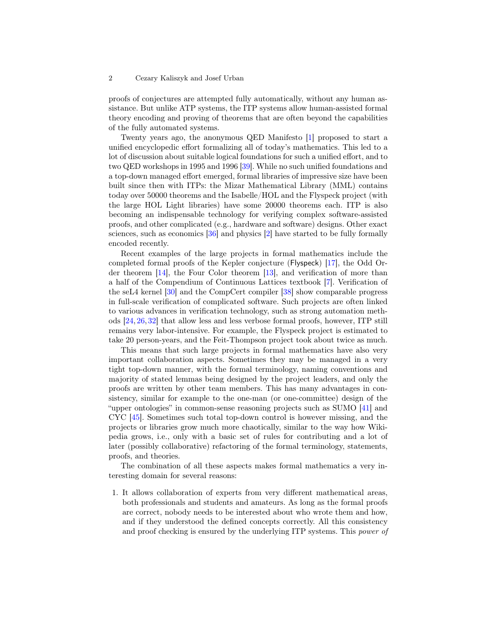proofs of conjectures are attempted fully automatically, without any human assistance. But unlike ATP systems, the ITP systems allow human-assisted formal theory encoding [and](#page-17-2) proving of theorems that are often beyond the capabilities of the fully automated systems.

Twenty years ago, the anonymous QED Manifesto [1] proposed to start a unified encyclopedic effort formalizing all of today's mathematics. This led to a lot of discussion about suitable logical foundations for such a unified effort, and to two QED workshops in 1995 and 1996 [39]. While no such unified foundations and a top-down managed effort emerged, formal libraries of impressive size have been built s[ince](#page-16-0) then with I[TP](#page-14-0)s: the Mizar Mathematical Library (MML) contains today over 50000 theorems and the Isabelle/HOL and the Flyspeck project (with the large HOL Light libraries) have some 20000 theorems each. ITP is also becoming an indispensable technology f[or](#page-15-5) verifying complex software-assisted proofs, and other comp[lica](#page-15-6)ted (e.g., hardware and software) designs. Other exact sciences, such as economics [\[36\]](#page-17-3) and phy[sic](#page-15-7)s [2] have started to be fully formally encoded recently.

Recent examples of the large projects in formal mathematics include the completed formal proofs of the Kepler conjecture (Flyspeck) [17], the Odd Order theorem [14], the Four Color theorem [13], and verification of more than a half of the Compendium of Continuous Lattices textbook [7]. Verification of the seL4 kernel [30] and the CompCert compiler [38] show comparable progress in full-scale verification of complicated software. Such projects are often linked to various advances in verification technology, such as strong automation methods [24, 26, 32] that allow less and less verbose formal proofs, however, ITP still remains very labor-intensive. For example, the Flyspeck project is estimated to take 20 person-years, and the Feit-Thompson project took about twice as much.

This means that such large projects in formal mathematics have also very important collaboration aspects. Sometimes they [ma](#page-17-4)y be managed in a very tight top-down manner, with the formal terminology, naming conventions and majority of stated lemmas being designed by the project leaders, and only the proofs are written by other team members. This has many advantages in consistency, similar for example to the one-man (or one-committee) design of the "upper ontologies" in common-sense reasoning projects such as SUMO [41] and CYC [45]. Sometimes such total top-down control is however missing, and the projects or libraries grow much more chaotically, similar to the way how Wikipedia grows, i.e., only with a basic set of rules for contributing and a lot of later (possibly collaborative) refactoring of the formal terminology, statements, proofs, and theories.

The combination of all these aspects makes formal mathematics a very interesting domain for several reasons:

1. It allows collaboration of experts from very different mathematical areas, both professionals and students and amateurs. As long as the formal proofs are correct, nobody needs to be interested about who wrote them and how, and if they understood the defined concepts correctly. All this consistency and proof checking is ensured by the underlying ITP systems. This power of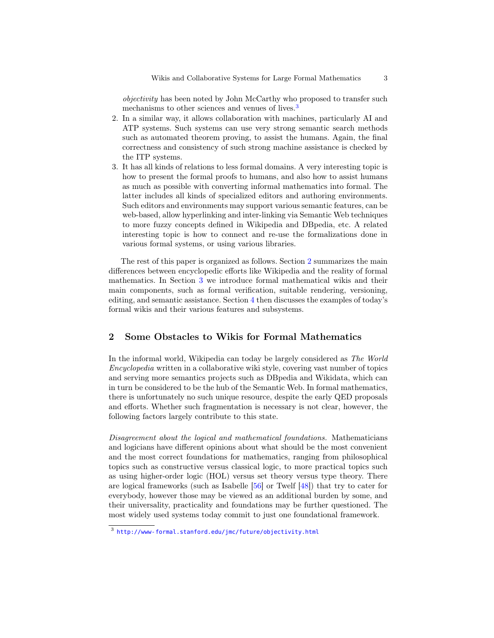objectivity has been noted by John McCarthy who proposed to transfer such mechanisms to other sciences and venues of lives.<sup>3</sup>

- 2. In a similar way, it allows collaboration with machines, particularly AI and ATP systems. Such systems can use very strong semantic search methods such as automated theorem proving, to assist the humans. Again, the final correctness and consistency of such strong machine assistance is checked by the ITP systems.
- 3. It has all kinds of relations to less formal domains. A very interesting topic is how to present the formal proofs to humans, and also how to assist humans as much as possible with converting informal mathematics into formal. The latter includes all kinds of specialized editors and authoring environments. Such editors and environments [ma](#page-2-0)y support various semantic features, can be web-based, allow hyperlinking and inter-linking via Semantic Web techniques [to](#page-3-0) more fuzzy concepts defined in Wikipedia and DBpedia, etc. A related interesting topic is how to connect and re-use the formalizations done in various formal [sy](#page-6-0)stems, or using various libraries.

<span id="page-2-0"></span>The rest of this paper is organized as follows. Section 2 summarizes the main differences between encyclopedic efforts like Wikipedia and the reality of formal mathematics. In Section 3 we introduce formal mathematical wikis and their main components, such as formal verification, suitable rendering, versioning, editing, and semantic assistance. Section 4 then discusses the examples of today's formal wikis and their various features and subsystems.

# 2 Some Obstacles to Wikis for Formal Mathematics

In the informal world, Wikipedia can today be largely considered as The World Encyclopedia written in a collaborative wiki style, covering vast number of topics and serving more semantics projects such as DBpedia and Wikidata, which can in turn be considered to be the hub of the Semantic Web. In formal mathematics, there is unfortunately no such unique resource, despite the early QED proposals and efforts. Whether such fragmentation is necessary is not clear, however, the following factors largely contribute to this state.

Disagreement about [the](#page-18-0) logical a[nd m](#page-17-5)athematical foundations. Mathematicians and logicians have different opinions about what should be the most convenient and the most correct foundations for mathematics, ranging from philosophical topics such as constructive versus classical logic, to more practical topics such [as using higher-order logic \(HOL\) vers](http://www-formal.stanford.edu/jmc/future/objectivity.html)us set theory versus type theory. There are logical frameworks (such as Isabelle [56] or Twelf [48]) that try to cater for everybody, however those may be viewed as an additional burden by some, and their universality, practicality and foundations may be further questioned. The most widely used systems today commit to just one foundational framework.

 $^3$  http://www-formal.stanford.edu/jmc/future/objectivity.html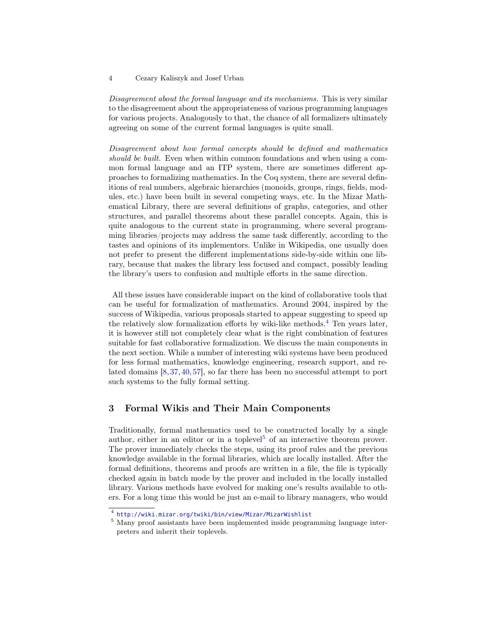Disagreement about the formal language and its mechanisms. This is very similar to the disagreement about the appropriateness of various programming languages for various projects. Analogously to that, the chance of all formalizers ultimately agreeing on some of the current formal languages is quite small.

Disagreement about how formal concepts should be defined and mathematics should be built. Even when within common foundations and when using a common formal language and an ITP system, there are sometimes different approaches to formalizing mathematics. In the Coq system, there are several definitions of real numbers, algebraic hierarchies (monoids, groups, rings, fields, modules, etc.) have been built in several competing ways, etc. In the Mizar Mathematical Library, there are several definitions of graphs, categories, and other structures, and parallel theorems about these parallel concepts. Again, this is quite analogous to the current state in programming, where several programming libraries/projects may address the same task differently, according to the tastes and opinions of its implementors. Unlike in Wikipedia, one usually does not prefer to present the different implementations side-by-side within one library, because that makes the library less focused and compact, possibly leading the library's users to confusion and mul[tip](#page-3-1)le efforts in the same direction.

All these issues have considerable impact on the kind of collaborative tools that can be useful for formalization of mathematics. Around 2004, inspired by the success of Wikipedia, various proposals started to appear suggesting to speed up [th](#page-17-6)[e re](#page-18-1)latively slow formalization efforts by wiki-like methods.<sup>4</sup> Ten years later, it is however still not completely clear what is the right combination of features suitable for fast collaborative formalization. We discuss the main components in the next section. While a number of interesting wiki systems have been produced for less formal mathematics, knowledge engineering, research support, and related domains [8, 37, 40, 57], so far there has been no successful attempt to port such systems to the f[ully](#page-3-2) formal setting.

### <span id="page-3-0"></span>3 Formal Wikis and Their Main Components

<span id="page-3-2"></span><span id="page-3-1"></span>Traditionally, formal mathematics used to be constructed locally by a single author, either in an editor or in a toplevel<sup>5</sup> of an interactive theorem prover. The prover immediately checks the steps, using its proof rules and the previous [knowledge available in the formal libr](http://wiki.mizar.org/twiki/bin/view/Mizar/MizarWishlist)aries, which are locally installed. After the formal definitions, theorems and proofs are written in a file, the file is typically checked again in batch mode by the prover and included in the locally installed library. Various methods have evolved for making one's results available to others. For a long time this would be just an e-mail to library managers, who would

<sup>4</sup> http://wiki.mizar.org/twiki/bin/view/Mizar/MizarWishlist

<sup>5</sup> Many proof assistants have been implemented inside programming language interpreters and inherit their toplevels.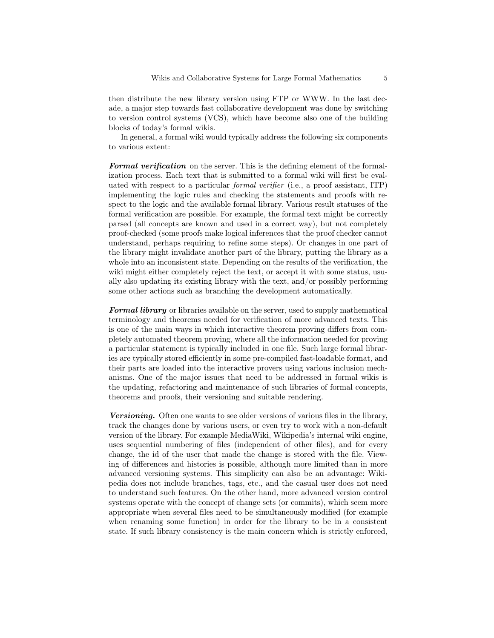then distribute the new library version using FTP or WWW. In the last decade, a major step towards fast collaborative development was done by switching to version control systems (VCS), which have become also one of the building blocks of today's formal wikis.

In general, a formal wiki would typically address the following six components to various extent:

**Formal verification** on the server. This is the defining element of the formalization process. Each text that is submitted to a formal wiki will first be evaluated with respect to a particular formal verifier (i.e., a proof assistant, ITP) implementing the logic rules and checking the statements and proofs with respect to the logic and the available formal library. Various result statuses of the formal verification are possible. For example, the formal text might be correctly parsed (all concepts are known and used in a correct way), but not completely proof-checked (some proofs make logical inferences that the proof checker cannot understand, perhaps requiring to refine some steps). Or changes in one part of the library might invalidate another part of the library, putting the library as a whole into an inconsistent state. Depending on the results of the verification, the wiki might either completely reject the text, or accept it with some status, usually also updating its existing library with the text, and/or possibly performing some other actions such as branching the development automatically.

**Formal library** or libraries available on the server, used to supply mathematical terminology and theorems needed for verification of more advanced texts. This is one of the main ways in which interactive theorem proving differs from completely automated theorem proving, where all the information needed for proving a particular statement is typically included in one file. Such large formal libraries are typically stored efficiently in some pre-compiled fast-loadable format, and their parts are loaded into the interactive provers using various inclusion mechanisms. One of the major issues that need to be addressed in formal wikis is the updating, refactoring and maintenance of such libraries of formal concepts, theorems and proofs, their versioning and suitable rendering.

Versioning. Often one wants to see older versions of various files in the library, track the changes done by various users, or even try to work with a non-default version of the library. For example MediaWiki, Wikipedia's internal wiki engine, uses sequential numbering of files (independent of other files), and for every change, the id of the user that made the change is stored with the file. Viewing of differences and histories is possible, although more limited than in more advanced versioning systems. This simplicity can also be an advantage: Wikipedia does not include branches, tags, etc., and the casual user does not need to understand such features. On the other hand, more advanced version control systems operate with the concept of change sets (or commits), which seem more appropriate when several files need to be simultaneously modified (for example when renaming some function) in order for the library to be in a consistent state. If such library consistency is the main concern which is strictly enforced,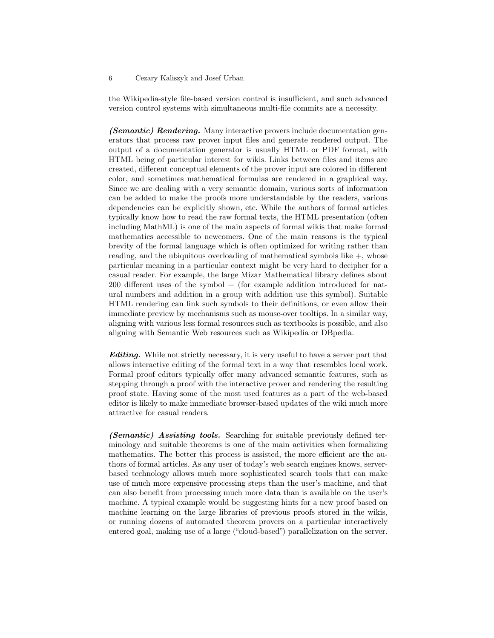the Wikipedia-style file-based version control is insufficient, and such advanced version control systems with simultaneous multi-file commits are a necessity.

(Semantic) Rendering. Many interactive provers include documentation generators that process raw prover input files and generate rendered output. The output of a documentation generator is usually HTML or PDF format, with HTML being of particular interest for wikis. Links between files and items are created, different conceptual elements of the prover input are colored in different color, and sometimes mathematical formulas are rendered in a graphical way. Since we are dealing with a very semantic domain, various sorts of information can be added to make the proofs more understandable by the readers, various dependencies can be explicitly shown, etc. While the authors of formal articles typically know how to read the raw formal texts, the HTML presentation (often including MathML) is one of the main aspects of formal wikis that make formal mathematics accessible to newcomers. One of the main reasons is the typical brevity of the formal language which is often optimized for writing rather than reading, and the ubiquitous overloading of mathematical symbols like +, whose particular meaning in a particular context might be very hard to decipher for a casual reader. For example, the large Mizar Mathematical library defines about  $200$  different uses of the symbol  $+$  (for example addition introduced for natural numbers and addition in a group with addition use this symbol). Suitable HTML rendering can link such symbols to their definitions, or even allow their immediate preview by mechanisms such as mouse-over tooltips. In a similar way, aligning with various less formal resources such as textbooks is possible, and also aligning with Semantic Web resources such as Wikipedia or DBpedia.

**Editing.** While not strictly necessary, it is very useful to have a server part that allows interactive editing of the formal text in a way that resembles local work. Formal proof editors typically offer many advanced semantic features, such as stepping through a proof with the interactive prover and rendering the resulting proof state. Having some of the most used features as a part of the web-based editor is likely to make immediate browser-based updates of the wiki much more attractive for casual readers.

(Semantic) Assisting tools. Searching for suitable previously defined terminology and suitable theorems is one of the main activities when formalizing mathematics. The better this process is assisted, the more efficient are the authors of formal articles. As any user of today's web search engines knows, serverbased technology allows much more sophisticated search tools that can make use of much more expensive processing steps than the user's machine, and that can also benefit from processing much more data than is available on the user's machine. A typical example would be suggesting hints for a new proof based on machine learning on the large libraries of previous proofs stored in the wikis, or running dozens of automated theorem provers on a particular interactively entered goal, making use of a large ("cloud-based") parallelization on the server.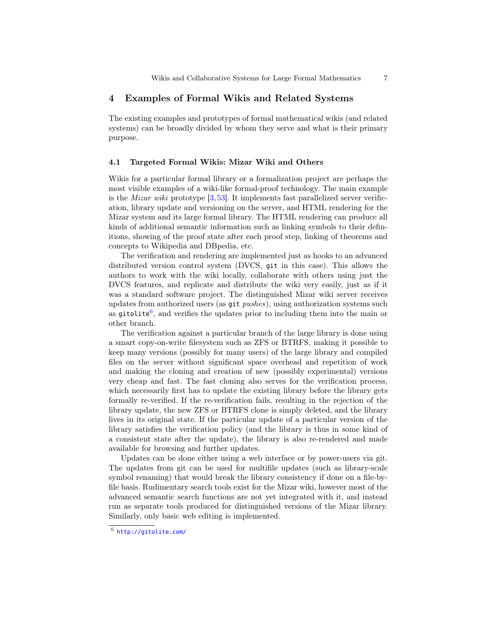# <span id="page-6-0"></span>4 Examples of Formal Wikis and Related Systems

The existing examples and prototypes of formal mathematical wikis (and related systems) can be broadly divided by whom they serve and what is their primary purpose.

#### 4.1 Targeted Formal Wikis: Mizar Wiki and Others

Wikis for a particular formal library or a formalization project are perhaps the most visible examples of a wiki-like formal-proof technology. The main example is the *Mizar wiki* prototype  $[3,53]$ . It implements fast parallelized server verification, library update and versioning on the server, and HTML rendering for the Mizar system and its large formal library. The HTML rendering can produce all kinds of additional semantic information such as linking symbols to their definitions, showing of the proof state after each proof step, linking of theorems and concepts to Wikipedia and DBpedia, etc.

The verification and rendering are implemented just as hooks to an advanced distributed version control system (DVCS, git in this case). This allows the authors to work with the wiki locally, collaborate with others using just the DVCS features, and replicate and distribute the wiki very easily, just as if it was a standard software project. The distinguished Mizar wiki server receives updates from authorized users (as git *pushes*), using authorization systems such as gitolite<sup>6</sup>, and verifies the updates prior to including them into the main or other branch.

The verification against a particular branch of the large library is done using a smart copy-on-write filesystem such as ZFS or BTRFS, making it possible to keep many versions (possibly for many users) of the large library and compiled files on the server without significant space overhead and repetition of work and making the cloning and creation of new (possibly experimental) versions very cheap and fast. The fast cloning also serves for the verification process, which necessarily first has to update the existing library before the library gets formally re-verified. If the re-verification fails, resulting in the rejection of the library update, the new ZFS or BTRFS clone is simply deleted, and the library lives in its original state. If the particular update of a particular version of the library satisfies the verification policy (and the library is thus in some kind of a consistent state after the update), the library is also re-rendered and made available for browsing and further updates.

Updates can be done either using a web interface or by power-users via git. The updates from git can be used for multifile updates (such as library-scale [sy](http://gitolite.com/)mbol renaming) that would break the library consistency if done on a file-byfile basis. Rudimentary search tools exist for the Mizar wiki, however most of the advanced semantic search functions are not yet integrated with it, and instead run as separate tools produced for distinguished versions of the Mizar library. Similarly, only basic web editing is implemented.

 $^6$  http://gitolite.com/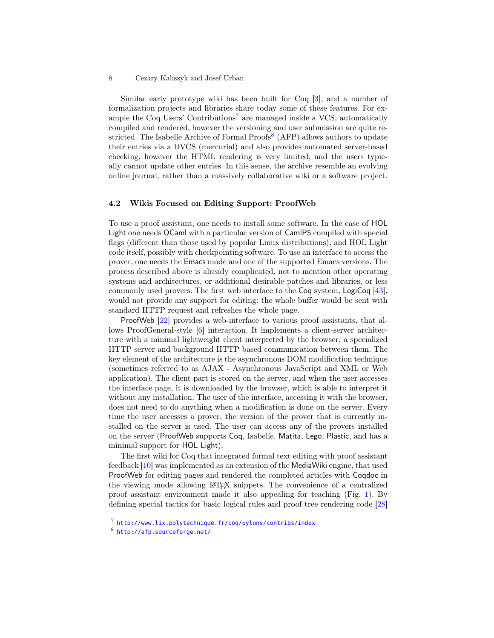Similar early prototype wiki has been built for Coq [3], and a number of formalization projects and libraries share today some of these features. For example the Coq Users' Contributions<sup>7</sup> are managed inside a VCS, automatically compiled and rendered, however the versioning and user submission are quite restricted. The Isabelle Archive of Formal Proofs<sup>8</sup> (AFP) allows authors to update their entries via a DVCS (mercurial) and also provides automated server-based checking, however the HTML rendering is very limited, and the users typically cannot update other entries. In this sense, the archive resemble an evolving online journal, rather than a massively collaborative wiki or a software project.

#### 4.2 Wikis Focused on Editing Support: ProofWeb

To use a proof assistant, one needs to install some software. In the case of HOL Light one needs OCaml with a particular version of CamlP5 compiled with special flags (different than those used by popular Linux distri[but](#page-17-7)ions), and HOL Light code itself, possibly with checkpointing software. To use an interface to access the prover, one needs the Emacs mode and one of the supported Emacs versions. The process described above is already complicated, not to mention other operating syst[em](#page-14-1)s and architectures, or additional desirable patches and libraries, or less commonly used provers. The first web interface to the Coq system, LogiCoq [43], would not provide any support for editing: the whole buffer would be sent with standard HTTP request and refreshes the whole page.

ProofWeb [22] provides a web-interface to various proof assistants, that allows ProofGeneral-style [6] interaction. It implements a client-server architecture with a minimal lightweight client interpreted by the browser, a specialized HTTP server and background HTTP based communication between them. The key element of the architecture is the asynchronous DOM modification technique (sometimes referred to as AJAX - Asynchronous JavaScript and XML or Web application). The client part is stored on the server, and when the user accesses the interface page, it is downloaded by the browser, which is able to interpret it without any installation. The user of the interface, accessing it with the browser, does not need to do anything when a modification is done on the server. Every time the user accesses a prover, the version of the prover that is currently installed on the server is used. The user can access any of the provers installed on the server (ProofWeb supports Coq, Isabelle, Ma[tit](#page-8-0)a, Lego, Plastic, and has a minimal support for HOL Light).

<span id="page-7-0"></span>The first wiki for Coq that integrated formal text ed[itin](#page-16-1)g with proof assistant feedback [10] was implemented as an extension of the MediaWiki engine, that used ProofWeb [for editing pages and render](http://www.lix.polytechnique.fr/coq/pylons/contribs/index)ed the completed articles with Coqdoc in [the view](http://afp.sourceforge.net/)ing mode allowing LATEX snippets. The convenience of a centralized proof assistant environment made it also appealing for teaching (Fig. 1). By defining special tactics for basic logical rules and proof tree rendering code [28]

<sup>&</sup>lt;sup>7</sup> http://www.lix.polytechnique.fr/coq/pylons/contribs/index

<sup>8</sup> http://afp.sourceforge.net/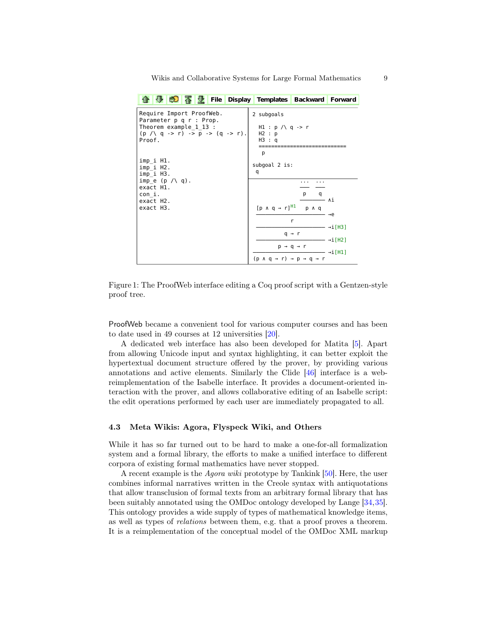<span id="page-8-0"></span>

|                                                                                                                                                                                                                                                                                                 | <mark>← ↓ → 下</mark> Tile Display Templates Backward Forward                                                                                                                                                                                                                                                                                                                |
|-------------------------------------------------------------------------------------------------------------------------------------------------------------------------------------------------------------------------------------------------------------------------------------------------|-----------------------------------------------------------------------------------------------------------------------------------------------------------------------------------------------------------------------------------------------------------------------------------------------------------------------------------------------------------------------------|
| Require Import ProofWeb.<br>Parameter p q r : Prop.<br>Theorem example $1\,13$ :<br>$(p / q \rightarrow r) \rightarrow p \rightarrow (q \rightarrow r).$<br>Proof.<br>imp i H1.<br>imp i H2.<br>imp i H3.<br>imp e $(p / \nightharpoonup q)$ .<br>exact H1.<br>con i.<br>exact H2.<br>exact H3. | 2 subgoals<br>$H1$ : $p \wedge q \rightarrow r$<br>H2 : p<br>H3:q<br>p<br>subgoal 2 is:<br>q<br>.<br>p<br>q<br>— лі<br>[ $p \wedge q \rightarrow r$ ] <sup>H1</sup> $p \wedge q$<br>$\rightarrow e$<br>r<br>→i[H3]<br>$q \rightarrow r$<br>— →i[H2]<br>$p \rightarrow q \rightarrow r$<br>— →i[H1]<br>$(p \land q \rightarrow r) \rightarrow p \rightarrow q \rightarrow r$ |

Figure 1: The ProofWeb [int](#page-15-8)erface editing a Coq p[ro](#page-14-2)of script with a Gentzen-style proof tree.

ProofWeb became a convenient to[ol fo](#page-17-8)r various computer courses and has been to date used in 49 courses at 12 universities [20].

A dedicated web interface has also been developed for Matita [5]. Apart from allowing Unicode input and syntax highlighting, it can better exploit the hypertextual document structure offered by the prover, by providing various annotations and active elements. Similarly the Clide [46] interface is a webreimplementation of the Isabelle interface. It provides a document-oriented interaction with the prover, and allows collaborative editing of an Isabelle script: the edit operations performed by each user are immediately propagated to all.

#### 4.3 Meta Wikis: Agora, Flyspeck [W](#page-17-9)iki, and Others

While it has so far turned out to be hard to make a one-for-all formalization system and a formal library, the efforts to make a [uni](#page-16-2)[fied](#page-16-3) interface to different corpora of existing formal mathematics have never stopped.

A recent example is the Agora wiki prototype by Tankink [50]. Here, the user combines informal narratives written in the Creole syntax with antiquotations that allow transclusion of formal texts from an arbitrary formal library that has been suitably annotated using the OMDoc ontology developed by Lange [34,35]. This ontology provides a wide supply of types of mathematical knowledge items, as well as types of relations between them, e.g. that a proof proves a theorem. It is a reimplementation of the conceptual model of the OMDoc XML markup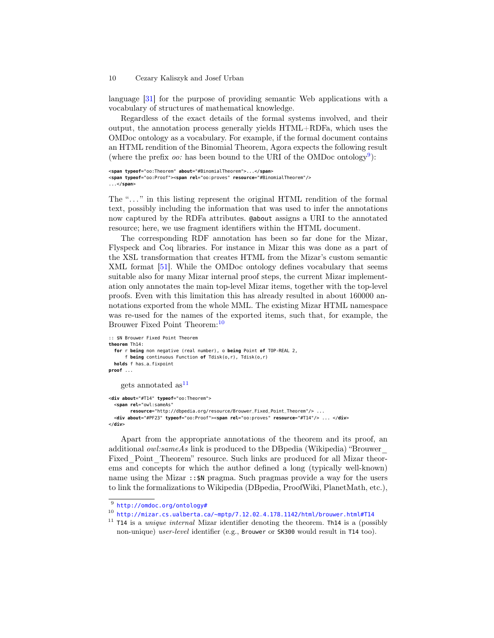language [31] for the purpose of providing semantic Web applications with a vocabulary of structures of mathematical knowledg[e.](#page-9-0)

Regardless of the exact details of the formal systems involved, and their output, the annotation process generally yields HTML+RDFa, which uses the OMDoc ontology as a vocabulary. For example, if the formal document contains an HTML rendition of the Binomial Theorem, Agora expects the following result (where the prefix *oo*: has been bound to the URI of the OMDoc ontology<sup>9</sup>):

```
<span typeof="oo:Theorem" about="#BinomialTheorem">...</span>
<span typeof="oo:Proof"><span rel="oo:proves" resource="#BinomialTheorem"/>
...</span>
```
The ". . . " in this listing represent the original HTML rendition of the formal text, possibly including the information that was used to infer the annotations now captured by the RDFa attributes. @about assigns a URI to the annotated resource; here, we use fragment identifiers within the HTML document.

The corresponding RDF annotation has been so far done for the Mizar, Flyspeck and Coq libraries. For instance in Mizar this was done as a part of the XSL transformation that creates HTML from the Mizar's custom semantic XML format [51]. While the OMDoc ontology defines vocabulary that seems suitable a[lso](#page-9-1) for many Mizar internal proof steps, the current Mizar implementation only annotates the main top-level Mizar items, together with the top-level proofs. Even with this limitation this has already resulted in about 160000 annotations exported from the whole MML. The existing Mizar HTML namespace was re-used for the names of the exported items, such that, for example, the Brouwer Fixed Point Theorem:<sup>10</sup>

```
:: $N Brouwer Fixed Point Theorem
theorem Th14:
  for r being non negative (real number), o being Point of TOP-REAL 2,
      f being continuous Function of Tdisk(o,r), Tdisk(o,r)
  holds f has_a_fixpoint
proof ...
    gets annotated as<sup>11</sup>
```

```
<div about="#T14" typeof="oo:Theorem">
  <span rel="owl:sameAs"
        resource="http://dbpedia.org/resource/Brouwer_Fixed_Point_Theorem"/> ...
 <div about="#PF23" typeof="oo:Proof"><span rel="oo:proves" resource="#T14"/> ... </div>
</div>
```
<span id="page-9-2"></span><span id="page-9-1"></span><span id="page-9-0"></span>Apart from the appropriate annotations of the theorem and its proof, an [addition](http://omdoc.org/ontology#)al owl:sameAs link is produced to the DBpedia (Wikipedia) "Brouwer\_ Fixed Point Theorem" resource. Such links are produced for all Mizar theorems and concepts for which the author defined a long (typically well-known) name using the Mizar  $::\$N$  pragma. Such pragmas provide a way for the users to link the formalizations to Wikipedia (DBpedia, ProofWiki, PlanetMath, etc.),

 $^9$  http://omdoc.org/ontology#

 $^{10}$  http://mizar.cs.ualberta.ca/~mptp/7.12.02\_4.178.1142/html/brouwer.html#T14

 $11$  T14 is a *unique internal* Mizar identifier denoting the theorem. Th14 is a (possibly non-unique) user-level identifier (e.g., Brouwer or SK300 would result in T14 too).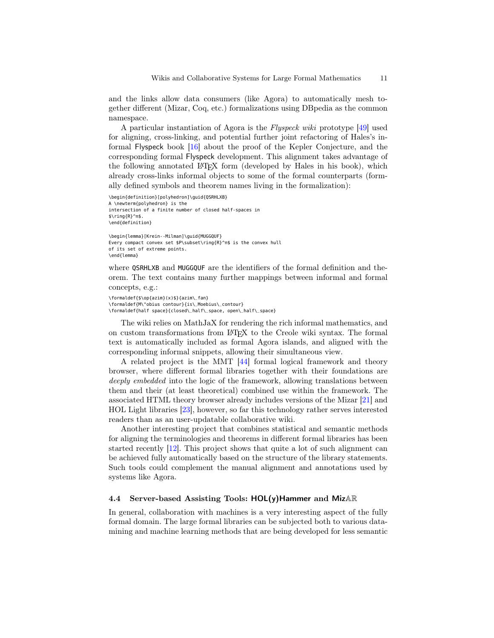a[nd](#page-15-9) the links allow data consumers (like Agora) to automatically mesh together different (Mizar, Coq, etc.) formalizations using DBpedia as the common namespace.

A particular instantiation of Agora is the Flyspeck wiki prototype [49] used for aligning, cross-linking, and potential further joint refactoring of Hales's informal Flyspeck book [16] about the proof of the Kepler Conjecture, and the corresponding formal Flyspeck development. This alignment takes advantage of the following annotated LATEX form (developed by Hales in his book), which already cross-links informal objects to some of the formal counterparts (formally defined symbols and theorem names living in the formalization):

```
\begin{definition}[polyhedron]\guid{QSRHLXB}
A \newterm{polyhedron} is the
intersection of a finite number of closed half-spaces in
$\ring{R}^n$.
\end{definition}
\begin{lemma}[Krein--Milman]\guid{MUGGQUF}
Every compact convex set $P\subset\ring{R}^n$ is the convex hull
of its set of extreme points.
```
\end{lemma}

where QSRHLXB and MUGGQUF are the identifiers of the formal definition and theorem. The text contains many further mappings between informal and formal concepts, e.g.:

```
\formaldef{$\op{azim}(x)$}{azim\_fan}
\formaldef{M\"obius contour}{is\_Moebius\_contour}
\formaldef{half space}{closed\_half\_space, open\_half\_space}
```
The wiki relies on MathJaX for rendering the rich informal mathematics, and on custom transformations from LATEX to the Creole wiki syntax. The formal text is automatically included as formal Agora islands, and aligned with the [cor](#page-16-4)responding informal snippets, allowing their si[mult](#page-15-10)aneous view.

A related project is the MMT [44] formal logical framework and theory browser, where different formal libraries together with their foundations are deeply embedded into the logic of the framework, allowing translations between them and their (at least theoretical) combined use within the framework. The associated HTML theory browser already includes versions of the Mizar [21] and HOL Light libraries [23], however, so far this technology rather serves interested readers than as an user-updatable collaborative wiki.

Another interesting project that combines statistical and semantic methods for aligning the terminologies and theorems in different formal libraries has been started recently [12]. This project shows that quite a lot of such alignment can be achieved fully automatically based on the structure of the library statements. Such tools could complement the manual alignment and annotations used by systems like Agora.

#### 4.4 Server-based Assisting Tools: HOL(y)Hammer and MizAR

In general, collaboration with machines is a very interesting aspect of the fully formal domain. The large formal libraries can be subjected both to various datamining and machine learning methods that are being developed for less semantic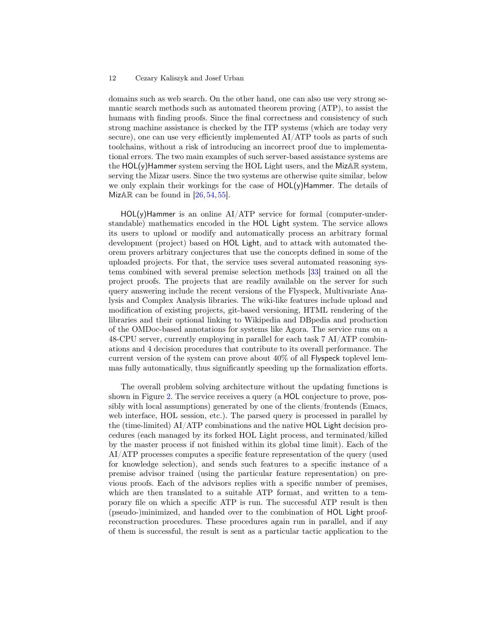domains such as web search. On the other hand, one can also use very strong semantic search methods such as automated theorem proving (ATP), to assist the humans with finding proofs. Since the final correctness and consistency of such strong machine assistance is checked by the ITP systems (which are today very secure), one can use very efficiently implemented AI/ATP tools as parts of such too[lch](#page-16-5)[ain](#page-18-2)[s, w](#page-18-3)ithout a risk of introducing an incorrect proof due to implementational errors. The two main examples of such server-based assistance systems are the  $HOL(y)$ Hammer system serving the HOL Light users, and the Miz $AR$  system, serving the Mizar users. Since the two systems are otherwise quite similar, below we only explain their workings for the case of HOL(y)Hammer. The details of MizAR can be found in  $[26, 54, 55]$ .

 $HOL(y)$ Hammer is an online  $AI/ATP$  service for formal (computer-understandable) mathematics encoded in [th](#page-16-6)e HOL Light system. The service allows its users to upload or modify and automatically process an arbitrary formal development (project) based on HOL Light, and to attack with automated theorem provers arbitrary conjectures that use the concepts defined in some of the uploaded projects. For that, the service uses several automated reasoning systems combined with several premise selection methods [33] trained on all the project proofs. The projects that are readily available on the server for such query answering include the recent versions of the Flyspeck, Multivariate Analysis and Complex Analysis libraries. The wiki-like features include upload and modification of existing projects, git-based versioning, HTML rendering of the libraries and their optional linking to Wikipedia and DBpedia and production of the OMDoc-based annotations for systems like Agora. The service runs on a 48-CPU server, currently employing in parallel for each task 7 AI/ATP combinations and 4 decision procedures that contribute to its overall performance. The current version of the system can prove about 40% of all Flyspeck toplevel lemmas fully automatically, thus significantly speeding up the formalization efforts.

The overall problem solving architecture without the updating functions is shown in Figure 2. The service receives a query (a HOL conjecture to prove, possibly with local assumptions) generated by one of the clients/frontends (Emacs, web interface, HOL session, etc.). The parsed query is processed in parallel by the (time-limited) AI/ATP combinations and the native HOL Light decision procedures (each managed by its forked HOL Light process, and terminated/killed by the master process if not finished within its global time limit). Each of the AI/ATP processes computes a specific feature representation of the query (used for knowledge selection), and sends such features to a specific instance of a premise advisor trained (using the particular feature representation) on previous proofs. Each of the advisors replies with a specific number of premises, which are then translated to a suitable ATP format, and written to a temporary file on which a specific ATP is run. The successful ATP result is then (pseudo-)minimized, and handed over to the combination of HOL Light proofreconstruction procedures. These procedures again run in parallel, and if any of them is successful, the result is sent as a particular tactic application to the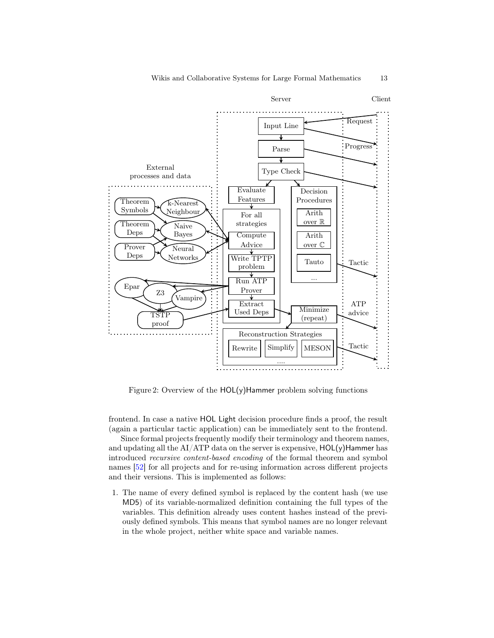

Figure 2: Overview of the HOL(y)Hammer problem solving functions

frontend. In case a native HOL Light decision procedure finds a proof, the result (again a particular tactic application) can be immediately sent to the frontend.

Since formal projects frequently modify their terminology and theorem names, and updating all the  $AI/ATP$  data on the server is expensive,  $HOL(y)$ Hammer has introduced recursive content-based encoding of the formal theorem and symbol names [52] for all projects and for re-using information across different projects and their versions. This is implemented as follows:

1. The name of every defined symbol is replaced by the content hash (we use MD5) of its variable-normalized definition containing the full types of the variables. This definition already uses content hashes instead of the previously defined symbols. This means that symbol names are no longer relevant in the whole project, neither white space and variable names.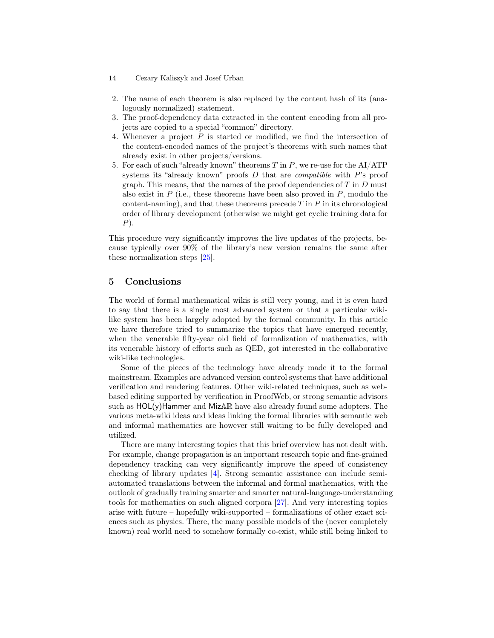- 14 Cezary Kaliszyk and Josef Urban
- 2. The name of each theorem is also replaced by the content hash of its (analogously normalized) statement.
- 3. The proof-dependency data extracted in the content encoding from all projects are copied to a special "common" directory.
- 4. Whenever a project  $P$  is started or modified, we find the intersection of the content-encoded names of the project's theorems with such names that already exist in other projects/versions.
- 5. For each of such "already known" theorems  $T$  in  $P$ , we re-use for the AI/ATP systems its "already known" proofs D that are *compatible* with P's proof graph. This means, that the names of the proof dependencies of  $T$  in  $D$  must also exist in  $P$  (i.e., these theorems have been also proved in  $P$ , modulo the c[ont](#page-16-7)ent-naming), and that these theorems precede  $T$  in  $P$  in its chronological order of library development (otherwise we might get cyclic training data for  $P$ ).

This procedure very significantly improves the live updates of the projects, because typically over 90% of the library's new version remains the same after these normalization steps [25].

### 5 Conclusions

The world of formal mathematical wikis is still very young, and it is even hard to say that there is a single most advanced system or that a particular wikilike system has been largely adopted by the formal community. In this article we have therefore tried to summarize the topics that have emerged recently, when the venerable fifty-year old field of formalization of mathematics, with its venerable history of efforts such as QED, got interested in the collaborative wiki-like technologies.

Some of the pieces of the technology have already made it to the formal mainstream. Examples are advanced version control systems that have additional verification and rendering features. Other wiki-related techniques, such as webbased editing supported by verification in ProofWeb, or strong semantic advisors such as  $HOL(y)$ Hammer and Miz $AR$  have also already found some adopters. The various meta-wiki ideas and ideas linking the formal libraries with semantic web and inf[orm](#page-14-3)al mathematics are however still waiting to be fully developed and utilized.

There are many interesting topics that this brief overview has not dealt with. For example, change prop[agat](#page-16-8)ion is an important research topic and fine-grained dependency tracking can very significantly improve the speed of consistency checking of library updates [4]. Strong semantic assistance can include semiautomated translations between the informal and formal mathematics, with the outlook of gradually training smarter and smarter natural-language-understanding tools for mathematics on such aligned corpora [27]. And very interesting topics arise with future – hopefully wiki-supported – formalizations of other exact sciences such as physics. There, the many possible models of the (never completely known) real world need to somehow formally co-exist, while still being linked to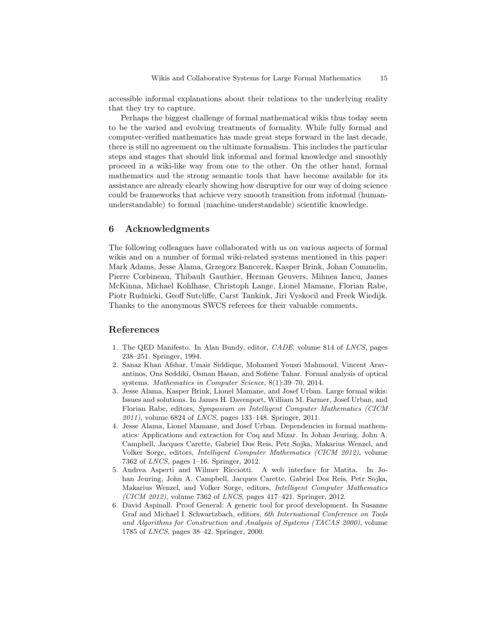accessible informal explanations about their relations to the underlying reality that they try to capture.

Perhaps the biggest challenge of formal mathematical wikis thus today seem to be the varied and evolving treatments of formality. While fully formal and computer-verified mathematics has made great steps forward in the last decade, there is still no agreement on the ultimate formalism. This includes the particular steps and stages that should link informal and formal knowledge and smoothly proceed in a wiki-like way from one to the other. On the other hand, formal mathematics and the strong semantic tools that have become available for its assistance are already clearly showing how disruptive for our way of doing science could be frameworks that achieve very smooth transition from informal (humanunderstandable) to formal (machine-understandable) scientific knowledge.

# 6 Acknowledgments

The following colleagues have collaborated with us on various aspects of formal wikis and on a number of formal wiki-related systems mentioned in this paper: Mark Adams, Jesse Alama, Grzegorz Bancerek, Kasper Brink, Johan Commelin, Pierre Corbineau, Thibault Gauthier, Herman Geuvers, Mihnea Iancu, James McKinna, Michael Kohlhase, Christoph Lange, Lionel Mamane, Florian Rabe, Piotr Rudnicki, Geoff Sutcliffe, Carst Tankink, Jiri Vyskocil and Freek Wiedijk. Thanks to the anonymous SWCS referees for their valuable comments.

# References

- 1. The QED Manifesto. In Alan Bundy, editor, CADE, volume 814 of LNCS, pages 238–251. Springer, 1994.
- <span id="page-14-0"></span>2. Sanaz Khan Afshar, Umair Siddique, Mohamed Yousri Mahmoud, Vincent Aravantinos, Ons Seddiki, Osman Hasan, and Sofiène Tahar. Formal analysis of optical systems. Mathematics in Computer Science, 8(1):39–70, 2014.
- 3. Jesse Alama, Kasper Brink, Lionel Mamane, and Josef Urban. Large formal wikis: Issues and solutions. In James H. Davenport, William M. Farmer, Josef Urban, and Florian Rabe, editors, Symposium on Intelligent Computer Mathematics (CICM 2011), volume 6824 of LNCS, pages 133–148. Springer, 2011.
- <span id="page-14-3"></span>4. Jesse Alama, Lionel Mamane, and Josef Urban. Dependencies in formal mathematics: Applications and extraction for Coq and Mizar. In Johan Jeuring, John A. Campbell, Jacques Carette, Gabriel Dos Reis, Petr Sojka, Makarius Wenzel, and Volker Sorge, editors, Intelligent Computer Mathematics (CICM 2012), volume 7362 of LNCS, pages 1–16. Springer, 2012.
- <span id="page-14-2"></span>5. Andrea Asperti and Wilmer Ricciotti. A web interface for Matita. In Johan Jeuring, John A. Campbell, Jacques Carette, Gabriel Dos Reis, Petr Sojka, Makarius Wenzel, and Volker Sorge, editors, Intelligent Computer Mathematics  $(CICM 2012)$ , volume 7362 of *LNCS*, pages 417–421. Springer, 2012.
- <span id="page-14-1"></span>6. David Aspinall. Proof General: A generic tool for proof development. In Susanne Graf and Michael I. Schwartzbach, editors, 6th International Conference on Tools and Algorithms for Construction and Analysis of Systems (TACAS 2000), volume 1785 of LNCS, pages 38–42. Springer, 2000.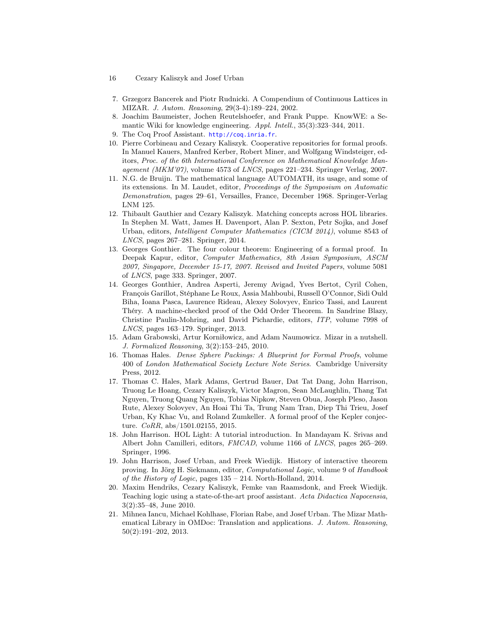- <span id="page-15-7"></span><span id="page-15-4"></span>16 [Cezary Kaliszyk and](http://coq.inria.fr) Josef Urban
- 7. Grzegorz Bancerek and Piotr Rudnicki. A Compendium of Continuous Lattices in MIZAR. J. Autom. Reasoning, 29(3-4):189–224, 2002.
- 8. Joachim Baumeister, Jochen Reutelshoefer, and Frank Puppe. KnowWE: a Semantic Wiki for knowledge engineering. Appl. Intell., 35(3):323–344, 2011.
- <span id="page-15-1"></span>9. The Coq Proof Assistant. http://coq.inria.fr.
- 10. Pierre Corbineau and Cezary Kaliszyk. Cooperative repositories for formal proofs. In Manuel Kauers, Manfred Kerber, Robert Miner, and Wolfgang Windsteiger, editors, Proc. of the 6th International Conference on Mathematical Knowledge Management (MKM'07), volume 4573 of LNCS, pages 221–234. Springer Verlag, 2007.
- <span id="page-15-6"></span>11. N.G. de Bruijn. The mathematical language AUTOMATH, its usage, and some of its extensions. In M. Laudet, editor, Proceedings of the Symposium on Automatic Demonstration, pages 29–61, Versailles, France, December 1968. Springer-Verlag LNM 125.
- 12. Thibault Gauthier and Cezary Kaliszyk. Matching concepts across HOL libraries. In Stephen M. Watt, James H. Davenport, Alan P. Sexton, Petr Sojka, and Josef Urban, editors, Intelligent Computer Mathematics (CICM 2014), volume 8543 of LNCS, pages 267–281. Springer, 2014.
- 13. Georges Gonthier. The four colour theorem: Engineering of a formal proof. In Deepak Kapur, editor, Computer Mathematics, 8th Asian Symposium, ASCM 2007, Singapore, December 15-17, 2007. Revised and Invited Papers, volume 5081 of LNCS, page 333. Springer, 2007.
- <span id="page-15-9"></span><span id="page-15-3"></span>14. Georges Gonthier, Andrea Asperti, Jeremy Avigad, Yves Bertot, Cyril Cohen, François Garillot, Stéphane Le Roux, Assia Mahboubi, Russell O'Connor, Sidi Ould Biha, Ioana Pasca, Laurence Rideau, Alexey Solovyev, Enrico Tassi, and Laurent Théry. A machine-checked proof of the Odd Order Theorem. In Sandrine Blazy, Christine Paulin-Mohring, and David Pichardie, editors, ITP, volume 7998 of LNCS, pages 163–179. Springer, 2013.
- <span id="page-15-5"></span>15. Adam Grabowski, Artur Korniłowicz, and Adam Naumowicz. Mizar in a nutshell. J. Formalized Reasoning, 3(2):153–245, 2010.
- 16. Thomas Hales. Dense Sphere Packings: A Blueprint for Formal Proofs, volume 400 of London Mathematical Society Lecture Note Series. Cambridge University Press, 2012.
- <span id="page-15-2"></span><span id="page-15-0"></span>17. Thomas C. Hales, Mark Adams, Gertrud Bauer, Dat Tat Dang, John Harrison, Truong Le Hoang, Cezary Kaliszyk, Victor Magron, Sean McLaughlin, Thang Tat Nguyen, Truong Quang Nguyen, Tobias Nipkow, Steven Obua, Joseph Pleso, Jason Rute, Alexey Solovyev, An Hoai Thi Ta, Trung Nam Tran, Diep Thi Trieu, Josef Urban, Ky Khac Vu, and Roland Zumkeller. A formal proof of the Kepler conjecture. CoRR, abs/1501.02155, 2015.
- <span id="page-15-8"></span>18. John Harrison. HOL Light: A tutorial introduction. In Mandayam K. Srivas and Albert John Camilleri, editors, FMCAD, volume 1166 of LNCS, pages 265–269. Springer, 1996.
- <span id="page-15-10"></span>19. John Harrison, Josef Urban, and Freek Wiedijk. History of interactive theorem proving. In Jörg H. Siekmann, editor, Computational Logic, volume 9 of Handbook of the History of Logic, pages 135 – 214. North-Holland, 2014.
- 20. Maxim Hendriks, Cezary Kaliszyk, Femke van Raamsdonk, and Freek Wiedijk. Teaching logic using a state-of-the-art proof assistant. Acta Didactica Napocensia, 3(2):35–48, June 2010.
- 21. Mihnea Iancu, Michael Kohlhase, Florian Rabe, and Josef Urban. The Mizar Mathematical Library in OMDoc: Translation and applications. J. Autom. Reasoning, 50(2):191–202, 2013.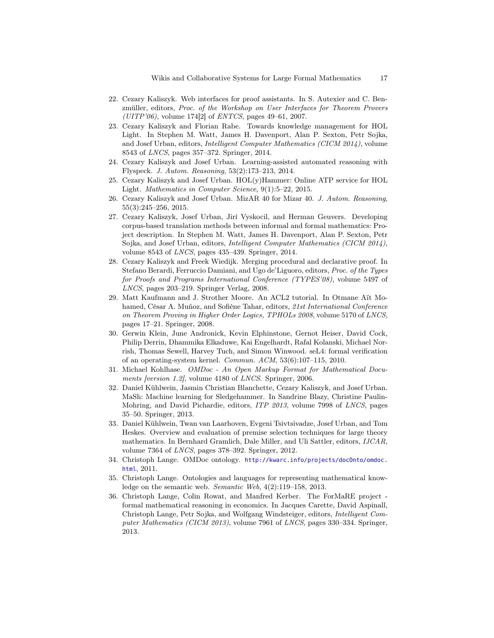- <span id="page-16-4"></span>22. Cezary Kaliszyk. Web interfaces for proof assistants. In S. Autexier and C. Benzmüller, editors, Proc. of the Workshop on User Interfaces for Theorem Provers  $(UITP'06)$ , volume 174[2] of *ENTCS*, pages 49–61, 2007.
- <span id="page-16-7"></span>23. Cezary Kaliszyk and Florian Rabe. Towards knowledge management for HOL Light. In Stephen M. Watt, James H. Davenport, Alan P. Sexton, Petr Sojka, and Josef Urban, editors, Intelligent Computer Mathematics (CICM 2014), volume 8543 of LNCS, pages 357–372. Springer, 2014.
- <span id="page-16-8"></span><span id="page-16-5"></span>24. Cezary Kaliszyk and Josef Urban. Learning-assisted automated reasoning with Flyspeck. J. Autom. Reasoning, 53(2):173–213, 2014.
- 25. Cezary Kaliszyk and Josef Urban.  $HOL(v)$ Hammer: Online ATP service for HOL Light. Mathematics in Computer Science, 9(1):5–22, 2015.
- 26. Cezary Kaliszyk and Josef Urban. MizAR 40 for Mizar 40. J. Autom. Reasoning, 55(3):245–256, 2015.
- <span id="page-16-1"></span>27. Cezary Kaliszyk, Josef Urban, Jirí Vyskocil, and Herman Geuvers. Developing corpus-based translation methods between informal and formal mathematics: Project description. In Stephen M. Watt, James H. Davenport, Alan P. Sexton, Petr Sojka, and Josef Urban, editors, Intelligent Computer Mathematics (CICM 2014), volume 8543 of LNCS, pages 435–439. Springer, 2014.
- 28. Cezary Kaliszyk and Freek Wiedijk. Merging procedural and declarative proof. In Stefano Berardi, Ferruccio Damiani, and Ugo de'Liguoro, editors, Proc. of the Types for Proofs and Programs International Conference (TYPES'08), volume 5497 of LNCS, pages 203–219. Springer Verlag, 2008.
- 29. Matt Kaufmann and J. Strother Moore. An ACL2 tutorial. In Otmane Aït Mohamed, César A. Muñoz, and Sofiène Tahar, editors, 21st International Conference on Theorem Proving in Higher Order Logics, TPHOLs 2008, volume 5170 of LNCS, pages 17–21. Springer, 2008.
- 30. Gerwin Klein, June Andronick, Kevin Elphinstone, Gernot Heiser, David Cock, Philip Derrin, Dhammika Elkaduwe, Kai Engelhardt, Rafal Kolanski, Michael Norrish, Thomas Sewell, Harvey Tuch, and Simon Winwood. seL4: formal verification of an operating-system kernel. Commun. ACM, 53(6):107–115, 2010.
- <span id="page-16-6"></span>31. Michael Kohlhase. OMDoc - An Open Markup Format for Mathematical Documents [version 1.2], volume 4180 of LNCS. Springer, 2006.
- <span id="page-16-2"></span>32. Daniel Kühlwein, Jasmin Christian Blanchette, Cezary Kaliszyk, and Josef Urban. MaSh: Machine learning for Sledgehammer. In Sandrine Blazy, Christine Paulin-Mohring, and [David Pichardie, editors,](http://kwarc.info/projects/docOnto/omdoc.html) ITP 2013, volume 7998 of LNCS, pages 35–50. Springer, 2013.
- <span id="page-16-3"></span>33. Daniel Kühlwein, Twan van Laarhoven, Evgeni Tsivtsivadze, Josef Urban, and Tom Heskes. Overview and evaluation of premise selection techniques for large theory mathematics. In Bernhard Gramlich, Dale Miller, and Uli Sattler, editors, IJCAR, volume 7364 of LNCS, pages 378–392. Springer, 2012.
- <span id="page-16-0"></span>34. Christoph Lange. OMDoc ontology. http://kwarc.info/projects/docOnto/omdoc. html, 2011.
- 35. Christoph Lange. Ontologies and languages for representing mathematical knowledge on the semantic web. Semantic Web, 4(2):119–158, 2013.
- 36. Christoph Lange, Colin Rowat, and Manfred Kerber. The ForMaRE project formal mathematical reasoning in economics. In Jacques Carette, David Aspinall, Christoph Lange, Petr Sojka, and Wolfgang Windsteiger, editors, Intelligent Computer Mathematics (CICM 2013), volume 7961 of LNCS, pages 330–334. Springer, 2013.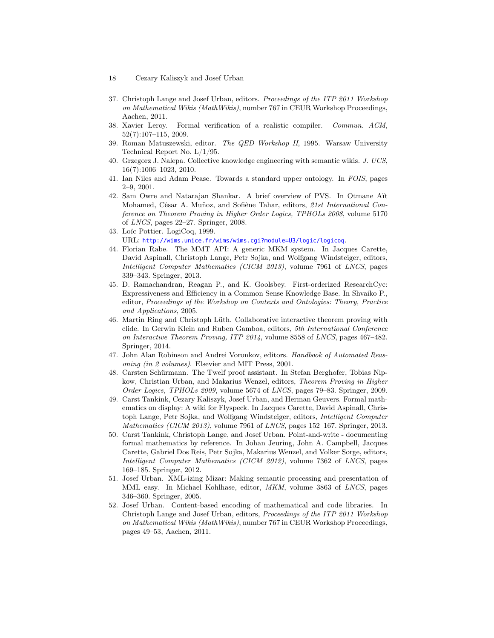- <span id="page-17-12"></span><span id="page-17-3"></span>18 Cezary Kaliszyk and Josef Urban
- <span id="page-17-6"></span><span id="page-17-2"></span>37. Christoph Lange and Josef Urban, editors. Proceedings of the ITP 2011 Workshop on Mathematical Wikis (MathWikis), number 767 in CEUR Workshop Proceedings, Aachen, 2011.
- <span id="page-17-4"></span>38. Xavier Leroy. Formal verification of a realistic compiler. Commun. ACM, 52(7):107–115, 2009.
- <span id="page-17-0"></span>39. Roman Matuszewski, editor. The QED Workshop II, 1995. Warsaw University Technical Report No. L/1/95.
- 40. Grzegorz J. Nalepa. Collective knowledge engineering with semantic wikis. J. UCS, 16(7):1006–1023, 2010.
- <span id="page-17-7"></span>41. Ian Niles and Adam Pease. Towards a standard upper ontology. In FOIS, pages [2–9, 2001.](http://wims.unice.fr/wims/wims.cgi?module=U3/logic/logicoq)
- <span id="page-17-11"></span>42. Sam Owre and Natarajan Shankar. A brief overview of PVS. In Otmane Aït Mohamed, César A. Muñoz, and Sofiène Tahar, editors, 21st International Conference on Theorem Proving in Higher Order Logics, TPHOLs 2008, volume 5170 of LNCS, pages 22–27. Springer, 2008.
- 43. Loïc Pottier. LogiCoq, 1999. URL: http://wims.unice.fr/wims/wims.cgi?module=U3/logic/logicoq.
- <span id="page-17-8"></span>44. Florian Rabe. The MMT API: A generic MKM system. In Jacques Carette, David Aspinall, Christoph Lange, Petr Sojka, and Wolfgang Windsteiger, editors, Intelligent Computer Mathematics (CICM 2013), volume 7961 of LNCS, pages 339–343. Springer, 2013.
- <span id="page-17-1"></span>45. D. Ramachandran, Reagan P., and K. Goolsbey. First-orderized ResearchCyc: Expressiveness and Efficiency in a Common Sense Knowledge Base. In Shvaiko P., editor, Proceedings of the Workshop on Contexts and Ontologies: Theory, Practice and Applications, 2005.
- <span id="page-17-5"></span>46. Martin Ring and Christoph Lüth. Collaborative interactive theorem proving with clide. In Gerwin Klein and Ruben Gamboa, editors, 5th International Conference on Interactive Theorem Proving, ITP 2014, volume 8558 of LNCS, pages 467–482. Springer, 2014.
- <span id="page-17-10"></span>47. John Alan Robinson and Andrei Voronkov, editors. Handbook of Automated Reasoning (in 2 volumes). Elsevier and MIT Press, 2001.
- <span id="page-17-9"></span>48. Carsten Schürmann. The Twelf proof assistant. In Stefan Berghofer, Tobias Nipkow, Christian Urban, and Makarius Wenzel, editors, Theorem Proving in Higher Order Logics, TPHOLs 2009, volume 5674 of LNCS, pages 79–83. Springer, 2009.
- 49. Carst Tankink, Cezary Kaliszyk, Josef Urban, and Herman Geuvers. Formal mathematics on display: A wiki for Flyspeck. In Jacques Carette, David Aspinall, Christoph Lange, Petr Sojka, and Wolfgang Windsteiger, editors, Intelligent Computer Mathematics (CICM 2013), volume 7961 of LNCS, pages 152–167. Springer, 2013.
- 50. Carst Tankink, Christoph Lange, and Josef Urban. Point-and-write documenting formal mathematics by reference. In Johan Jeuring, John A. Campbell, Jacques Carette, Gabriel Dos Reis, Petr Sojka, Makarius Wenzel, and Volker Sorge, editors, Intelligent Computer Mathematics (CICM 2012), volume 7362 of LNCS, pages 169–185. Springer, 2012.
- 51. Josef Urban. XML-izing Mizar: Making semantic processing and presentation of MML easy. In Michael Kohlhase, editor, MKM, volume 3863 of LNCS, pages 346–360. Springer, 2005.
- 52. Josef Urban. Content-based encoding of mathematical and code libraries. In Christoph Lange and Josef Urban, editors, Proceedings of the ITP 2011 Workshop on Mathematical Wikis (MathWikis), number 767 in CEUR Workshop Proceedings, pages 49–53, Aachen, 2011.